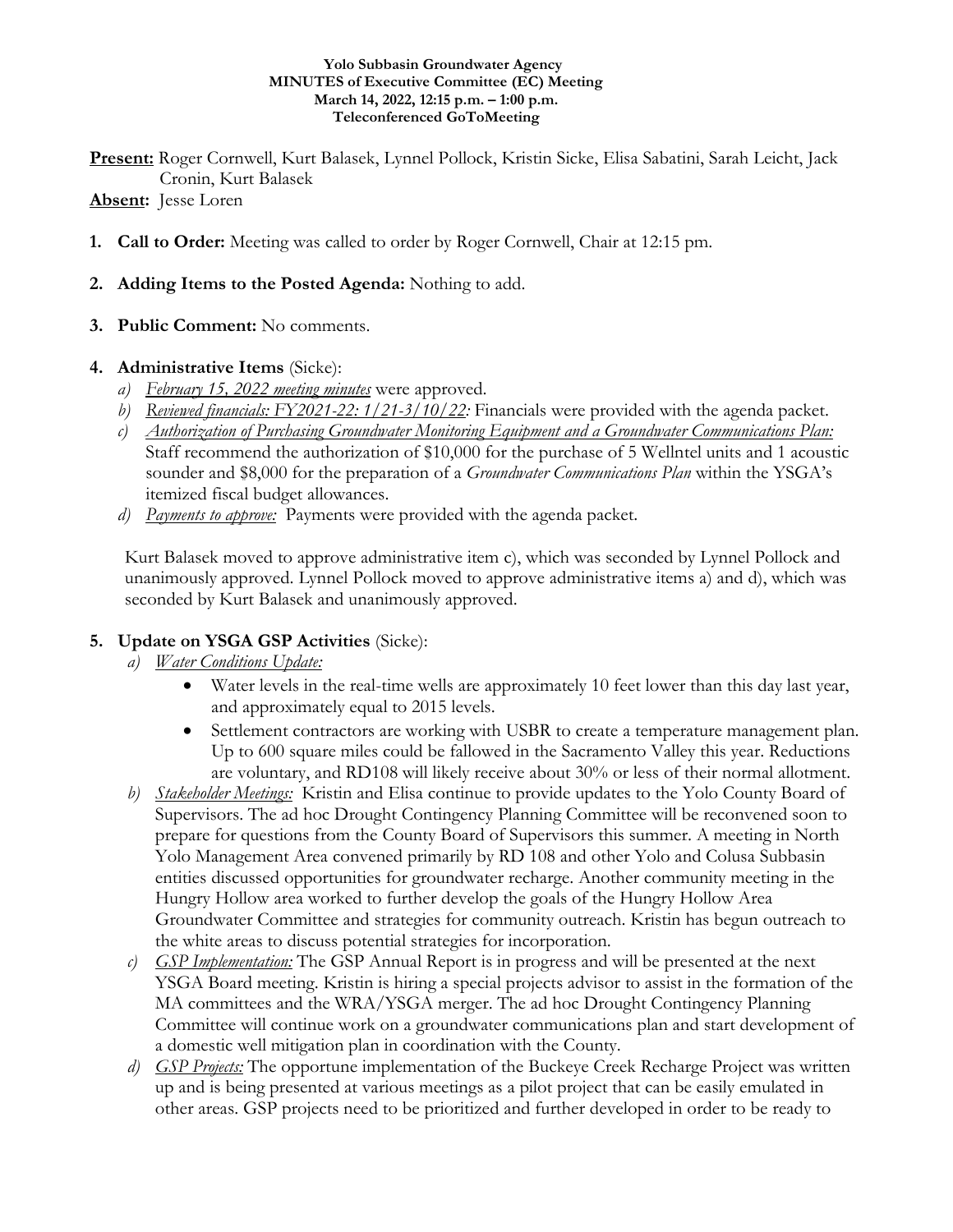#### **Yolo Subbasin Groundwater Agency MINUTES of Executive Committee (EC) Meeting March 14, 2022, 12:15 p.m. – 1:00 p.m. Teleconferenced GoToMeeting**

**Present:** Roger Cornwell, Kurt Balasek, Lynnel Pollock, Kristin Sicke, Elisa Sabatini, Sarah Leicht, Jack Cronin, Kurt Balasek

## **Absent:** Jesse Loren

- **1. Call to Order:** Meeting was called to order by Roger Cornwell, Chair at 12:15 pm.
- **2. Adding Items to the Posted Agenda:** Nothing to add.
- **3. Public Comment:** No comments.

## **4. Administrative Items** (Sicke):

- *a) February 15, 2022 meeting minutes* were approved.
- *b) Reviewed financials: FY2021-22: 1/21-3/10/22:* Financials were provided with the agenda packet.
- *c) Authorization of Purchasing Groundwater Monitoring Equipment and a Groundwater Communications Plan:* Staff recommend the authorization of \$10,000 for the purchase of 5 Wellntel units and 1 acoustic sounder and \$8,000 for the preparation of a *Groundwater Communications Plan* within the YSGA's itemized fiscal budget allowances.
- *d) Payments to approve:* Payments were provided with the agenda packet.

Kurt Balasek moved to approve administrative item c), which was seconded by Lynnel Pollock and unanimously approved. Lynnel Pollock moved to approve administrative items a) and d), which was seconded by Kurt Balasek and unanimously approved.

# **5. Update on YSGA GSP Activities** (Sicke):

- *a) Water Conditions Update:*
	- Water levels in the real-time wells are approximately 10 feet lower than this day last year, and approximately equal to 2015 levels.
	- Settlement contractors are working with USBR to create a temperature management plan. Up to 600 square miles could be fallowed in the Sacramento Valley this year. Reductions are voluntary, and RD108 will likely receive about 30% or less of their normal allotment.
- *b) Stakeholder Meetings:* Kristin and Elisa continue to provide updates to the Yolo County Board of Supervisors. The ad hoc Drought Contingency Planning Committee will be reconvened soon to prepare for questions from the County Board of Supervisors this summer. A meeting in North Yolo Management Area convened primarily by RD 108 and other Yolo and Colusa Subbasin entities discussed opportunities for groundwater recharge. Another community meeting in the Hungry Hollow area worked to further develop the goals of the Hungry Hollow Area Groundwater Committee and strategies for community outreach. Kristin has begun outreach to the white areas to discuss potential strategies for incorporation.
- *c) GSP Implementation:* The GSP Annual Report is in progress and will be presented at the next YSGA Board meeting. Kristin is hiring a special projects advisor to assist in the formation of the MA committees and the WRA/YSGA merger. The ad hoc Drought Contingency Planning Committee will continue work on a groundwater communications plan and start development of a domestic well mitigation plan in coordination with the County.
- *d) GSP Projects:* The opportune implementation of the Buckeye Creek Recharge Project was written up and is being presented at various meetings as a pilot project that can be easily emulated in other areas. GSP projects need to be prioritized and further developed in order to be ready to